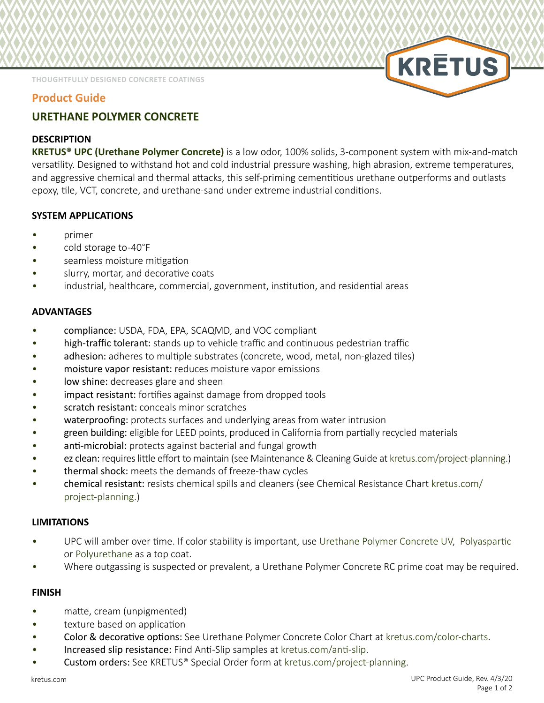**THOUGHTFULLY DESIGNED CONCRETE COATINGS**

## **Product Guide**

# **URETHANE POLYMER CONCRETE**

## **DESCRIPTION**

**KRETUS® UPC (Urethane Polymer Concrete)** is a low odor, 100% solids, 3-component system with mix-and-match versatility. Designed to withstand hot and cold industrial pressure washing, high abrasion, extreme temperatures, and aggressive chemical and thermal attacks, this self-priming cementitious urethane outperforms and outlasts epoxy, tile, VCT, concrete, and urethane-sand under extreme industrial conditions.

## **SYSTEM APPLICATIONS**

- primer
- cold storage to -40°F
- seamless moisture mitigation
- slurry, mortar, and decorative coats
- industrial, healthcare, commercial, government, institution, and residential areas

### **ADVANTAGES**

- compliance: USDA, FDA, EPA, SCAQMD, and VOC compliant
- high-traffic tolerant: stands up to vehicle traffic and continuous pedestrian traffic
- adhesion: adheres to multiple substrates (concrete, wood, metal, non-glazed tiles)
- moisture vapor resistant: reduces moisture vapor emissions
- low shine: decreases glare and sheen
- impact resistant: fortifies against damage from dropped tools
- scratch resistant: conceals minor scratches
- waterproofing: protects surfaces and underlying areas from water intrusion
- green building: eligible for LEED points, produced in California from partially recycled materials
- anti-microbial: protects against bacterial and fungal growth
- ez clean: requires little effort to maintain (see Maintenance & Cleaning Guide at [kretus.com/project-planning](http://kretus.com/project-planning).)
- thermal shock: meets the demands of freeze-thaw cycles
- chemical resistant: resists chemical spills and cleaners (see Chemical Resistance Chart [kretus.com/](http://kretus.com/project-planning) [project-planning.](http://kretus.com/project-planning))

### **LIMITATIONS**

- UPC will amber over time. If color stability is important, use [Urethane Polymer Concrete UV](http://kretus.com/urethane-polymer-concrete-UV), [Polyaspartic](http://kretus.com/polyaspartic)  or [Polyurethane](http://kretus.com/polyurethane) as a top coat.
- Where outgassing is suspected or prevalent, a Urethane Polymer Concrete RC prime coat may be required.

### **FINISH**

- matte, cream (unpigmented)
- texture based on application
- Color & decorative options: See Urethane Polymer Concrete Color Chart at [kretus.com/color-charts](http://kretus.com/color-charts).
- Increased slip resistance: Find Anti-Slip samples a[t kretus.com/anti-slip](http://kretus.com/anti-slip).
- Custom orders: See KRETUS® Special Order form at [kretus.com/project-planning](http://kretus.com/project-planning).

**KRETUS**